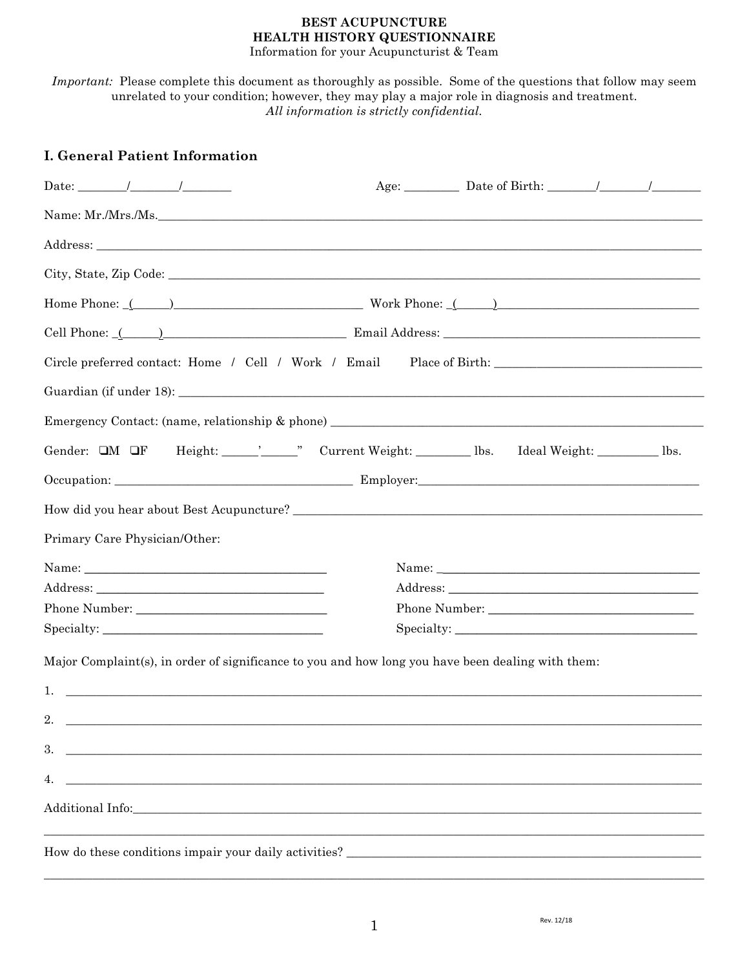#### **BEST ACUPUNCTURE** HEALTH HISTORY QUESTIONNAIRE Information for your Acupuncturist & Team

Important: Please complete this document as thoroughly as possible. Some of the questions that follow may seem unrelated to your condition; however, they may play a major role in diagnosis and treatment. All information is strictly confidential.

| <b>I. General Patient Information</b>                                                                                                                                                                                                                                                                                        |  |  |  |  |
|------------------------------------------------------------------------------------------------------------------------------------------------------------------------------------------------------------------------------------------------------------------------------------------------------------------------------|--|--|--|--|
|                                                                                                                                                                                                                                                                                                                              |  |  |  |  |
|                                                                                                                                                                                                                                                                                                                              |  |  |  |  |
|                                                                                                                                                                                                                                                                                                                              |  |  |  |  |
|                                                                                                                                                                                                                                                                                                                              |  |  |  |  |
| Home Phone: $($ $)$ $\cdots$ $\cdots$ $\cdots$ $\cdots$ $\cdots$ $\cdots$ $\cdots$ $\cdots$ $\cdots$ $\cdots$ $\cdots$ $\cdots$ $\cdots$ $\cdots$ $\cdots$ $\cdots$ $\cdots$ $\cdots$ $\cdots$ $\cdots$ $\cdots$ $\cdots$ $\cdots$ $\cdots$ $\cdots$ $\cdots$ $\cdots$ $\cdots$ $\cdots$ $\cdots$ $\cdots$ $\cdots$ $\cdots$ |  |  |  |  |
|                                                                                                                                                                                                                                                                                                                              |  |  |  |  |
| Circle preferred contact: Home / Cell / Work / Email Place of Birth:                                                                                                                                                                                                                                                         |  |  |  |  |
|                                                                                                                                                                                                                                                                                                                              |  |  |  |  |
| Emergency Contact: (name, relationship & phone) _________________________________                                                                                                                                                                                                                                            |  |  |  |  |
|                                                                                                                                                                                                                                                                                                                              |  |  |  |  |
|                                                                                                                                                                                                                                                                                                                              |  |  |  |  |
|                                                                                                                                                                                                                                                                                                                              |  |  |  |  |
| Primary Care Physician/Other:                                                                                                                                                                                                                                                                                                |  |  |  |  |
|                                                                                                                                                                                                                                                                                                                              |  |  |  |  |
|                                                                                                                                                                                                                                                                                                                              |  |  |  |  |
|                                                                                                                                                                                                                                                                                                                              |  |  |  |  |
| $\text{Specificity:}\underbrace{\hspace{2.5cm}}$                                                                                                                                                                                                                                                                             |  |  |  |  |
| Major Complaint(s), in order of significance to you and how long you have been dealing with them:                                                                                                                                                                                                                            |  |  |  |  |
| $1.$ $\overline{\phantom{a}}$                                                                                                                                                                                                                                                                                                |  |  |  |  |
| 2.                                                                                                                                                                                                                                                                                                                           |  |  |  |  |
| 3.                                                                                                                                                                                                                                                                                                                           |  |  |  |  |
| 4.                                                                                                                                                                                                                                                                                                                           |  |  |  |  |
|                                                                                                                                                                                                                                                                                                                              |  |  |  |  |
|                                                                                                                                                                                                                                                                                                                              |  |  |  |  |
| How do these conditions impair your daily activities?                                                                                                                                                                                                                                                                        |  |  |  |  |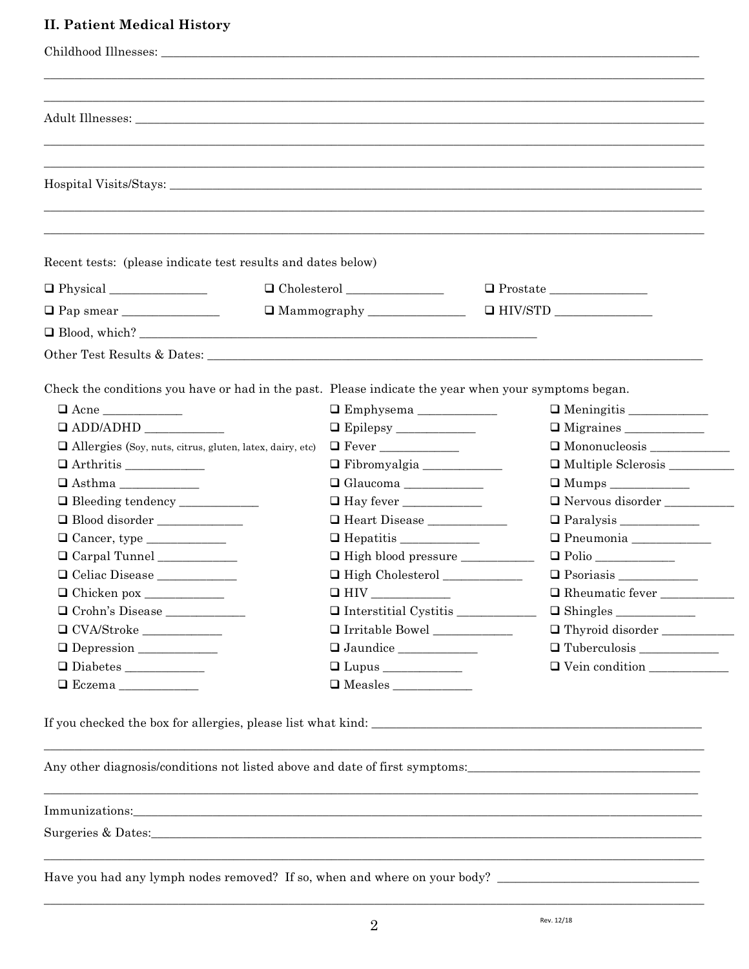### **II. Patient Medical History**

| Recent tests: (please indicate test results and dates below)                                         |                                        |                       |
|------------------------------------------------------------------------------------------------------|----------------------------------------|-----------------------|
|                                                                                                      | $\Box$ Cholesterol                     |                       |
| $\Box$ Pap smear $\_\_\_\_\_\_\_\_\_\_\_\_\_\_\_\_\_\_\_\_$                                          |                                        |                       |
|                                                                                                      |                                        |                       |
|                                                                                                      |                                        |                       |
|                                                                                                      |                                        |                       |
| Check the conditions you have or had in the past. Please indicate the year when your symptoms began. |                                        |                       |
| $\Box$ Acne                                                                                          |                                        |                       |
|                                                                                                      |                                        |                       |
| $\Box$ Allergies (Soy, nuts, citrus, gluten, latex, dairy, etc)                                      |                                        |                       |
|                                                                                                      |                                        | Multiple Sclerosis    |
| $\hbox{\rlap{$\sqcap$}}$ Asthma _________                                                            |                                        |                       |
| □ Bleeding tendency ___________                                                                      |                                        | Nervous disorder      |
| $\hfill\Box$ Blood disorder ______________                                                           | $\hfill\Box$ Heart Disease ___________ |                       |
|                                                                                                      |                                        | Pneumonia ___________ |
| O Carpal Tunnel                                                                                      | □ High blood pressure ____________     | $\Box$ Polio          |
|                                                                                                      |                                        |                       |
| O Celiac Disease                                                                                     |                                        |                       |
|                                                                                                      |                                        | Rheumatic fever       |
| O Crohn's Disease ___________                                                                        | Interstitial Cystitis                  |                       |
|                                                                                                      |                                        | Thyroid disorder      |
| $\hbox{\rlap{$\sqcap$}}$ CVA/Stroke ____________<br>Depression                                       |                                        |                       |
|                                                                                                      |                                        | Vein condition        |

Any other diagnosis/conditions not listed above and date of first symptoms:

Immunizations: www.archive.com/www.archive.com/www.archive.com/www.archive.com/www.archive.com/www.

Have you had any lymph nodes removed? If so, when and where on your body? \_\_\_\_\_\_\_\_\_\_\_\_\_\_\_\_\_\_\_\_\_\_\_\_\_\_